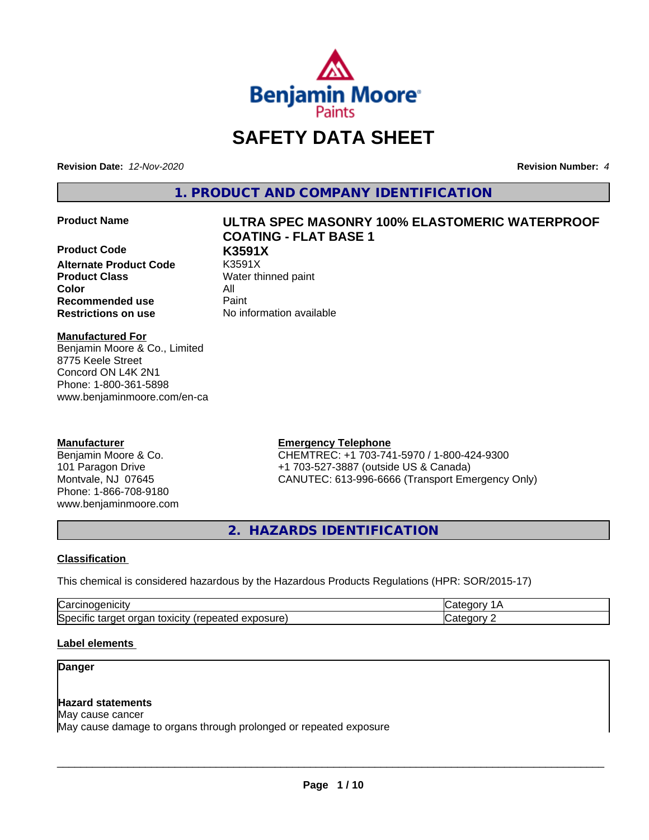

# **SAFETY DATA SHEET**

**Revision Date:** *12-Nov-2020* **Revision Number:** *4*

**1. PRODUCT AND COMPANY IDENTIFICATION**

**Product Code K3591X Alternate Product Code Product Class** Water thinned paint **Color** All **Recommended use** Paint **Restrictions on use** No information available

# **Product Name ULTRA SPEC MASONRY 100% ELASTOMERIC WATERPROOF COATING - FLAT BASE 1**

#### **Manufactured For**

Benjamin Moore & Co., Limited 8775 Keele Street Concord ON L4K 2N1 Phone: 1-800-361-5898 www.benjaminmoore.com/en-ca

#### **Manufacturer**

Benjamin Moore & Co. 101 Paragon Drive Montvale, NJ 07645 Phone: 1-866-708-9180 www.benjaminmoore.com

#### **Emergency Telephone**

CHEMTREC: +1 703-741-5970 / 1-800-424-9300 +1 703-527-3887 (outside US & Canada) CANUTEC: 613-996-6666 (Transport Emergency Only)

**2. HAZARDS IDENTIFICATION**

#### **Classification**

This chemical is considered hazardous by the Hazardous Products Regulations (HPR: SOR/2015-17)

| r                                                                                                         |        |
|-----------------------------------------------------------------------------------------------------------|--------|
| $\cdot$ .<br>ו⊂ו<br>.<br>$+0.2101$<br>exposure<br>.ar<br>orc<br>ים.<br>يم<br>udl'<br>∵anc<br>स्तास<br>, , | -- - - |

#### **Label elements**

#### **Danger**

## **Hazard statements**

May cause cancer May cause damage to organs through prolonged or repeated exposure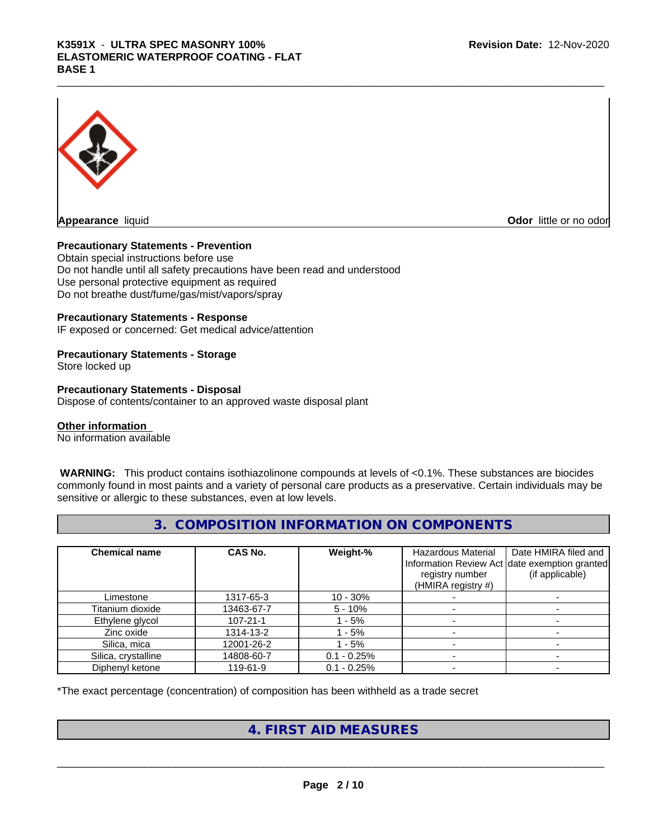## K3591X - ULTRA SPEC MASONRY 100%<br>ELASTOMERIC WATERPROOF COATING - FLAT<br>BASE 1 **ELASTOMERIC WATERPROOF COATING - FLAT BASE 1**



**Appearance** liquid **Odor 11 Construction Odor 11 Construction Odor 11 Construction Odor little or no odor** 

#### **Precautionary Statements - Prevention**

Obtain special instructions before use Do not handle until all safety precautions have been read and understood Use personal protective equipment as required Do not breathe dust/fume/gas/mist/vapors/spray

#### **Precautionary Statements - Response**

IF exposed or concerned: Get medical advice/attention

### **Precautionary Statements - Storage**

Store locked up

#### **Precautionary Statements - Disposal**

Dispose of contents/container to an approved waste disposal plant

#### **Other information**

No information available

 **WARNING:** This product contains isothiazolinone compounds at levels of <0.1%. These substances are biocides commonly found in most paints and a variety of personal care products as a preservative. Certain individuals may be sensitive or allergic to these substances, even at low levels.

#### **3. COMPOSITION INFORMATION ON COMPONENTS**

| <b>Chemical name</b> | CAS No.        | Weight-%      | Hazardous Material<br>registry number<br>(HMIRA registry #) | Date HMIRA filed and<br>Information Review Act date exemption granted<br>(if applicable) |
|----------------------|----------------|---------------|-------------------------------------------------------------|------------------------------------------------------------------------------------------|
| Limestone            | 1317-65-3      | $10 - 30%$    |                                                             |                                                                                          |
| Titanium dioxide     | 13463-67-7     | $5 - 10%$     |                                                             |                                                                                          |
| Ethylene glycol      | $107 - 21 - 1$ | - 5%          |                                                             |                                                                                          |
| Zinc oxide           | 1314-13-2      | $-5%$         |                                                             |                                                                                          |
| Silica, mica         | 12001-26-2     | - 5%          |                                                             |                                                                                          |
| Silica, crystalline  | 14808-60-7     | $0.1 - 0.25%$ |                                                             |                                                                                          |
| Diphenyl ketone      | 119-61-9       | $0.1 - 0.25%$ |                                                             |                                                                                          |

\*The exact percentage (concentration) of composition has been withheld as a trade secret

## **4. FIRST AID MEASURES**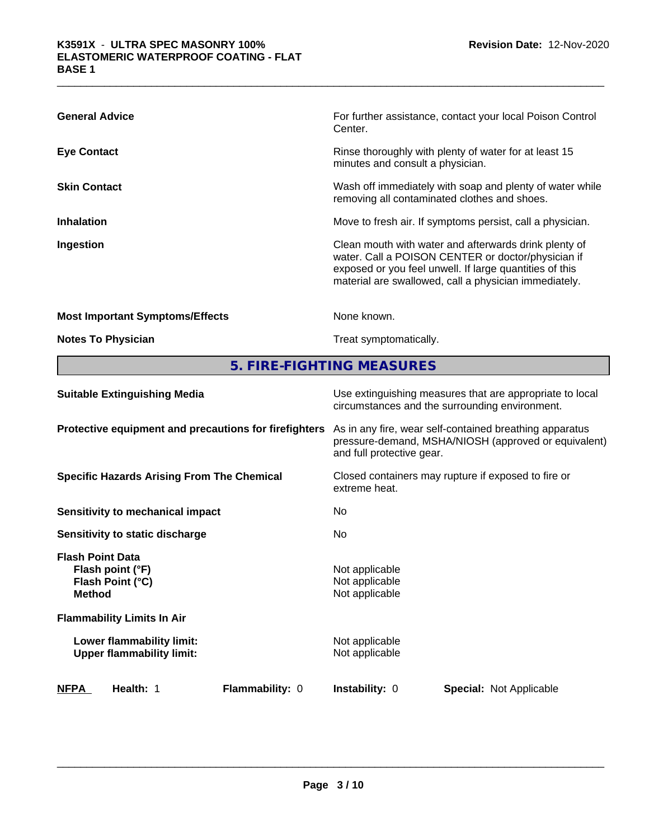| <b>General Advice</b>                  | For further assistance, contact your local Poison Control<br>Center.                                                                                                                                                            |
|----------------------------------------|---------------------------------------------------------------------------------------------------------------------------------------------------------------------------------------------------------------------------------|
| <b>Eye Contact</b>                     | Rinse thoroughly with plenty of water for at least 15<br>minutes and consult a physician.                                                                                                                                       |
| <b>Skin Contact</b>                    | Wash off immediately with soap and plenty of water while<br>removing all contaminated clothes and shoes.                                                                                                                        |
| <b>Inhalation</b>                      | Move to fresh air. If symptoms persist, call a physician.                                                                                                                                                                       |
| Ingestion                              | Clean mouth with water and afterwards drink plenty of<br>water. Call a POISON CENTER or doctor/physician if<br>exposed or you feel unwell. If large quantities of this<br>material are swallowed, call a physician immediately. |
| <b>Most Important Symptoms/Effects</b> | None known.                                                                                                                                                                                                                     |
| <b>Notes To Physician</b>              | Treat symptomatically.                                                                                                                                                                                                          |

**5. FIRE-FIGHTING MEASURES**

| <b>Suitable Extinguishing Media</b>                                              | Use extinguishing measures that are appropriate to local<br>circumstances and the surrounding environment.                                   |  |  |  |
|----------------------------------------------------------------------------------|----------------------------------------------------------------------------------------------------------------------------------------------|--|--|--|
| Protective equipment and precautions for firefighters                            | As in any fire, wear self-contained breathing apparatus<br>pressure-demand, MSHA/NIOSH (approved or equivalent)<br>and full protective gear. |  |  |  |
| <b>Specific Hazards Arising From The Chemical</b>                                | Closed containers may rupture if exposed to fire or<br>extreme heat.                                                                         |  |  |  |
| Sensitivity to mechanical impact                                                 | No.                                                                                                                                          |  |  |  |
| Sensitivity to static discharge                                                  | No.                                                                                                                                          |  |  |  |
| <b>Flash Point Data</b><br>Flash point (°F)<br>Flash Point (°C)<br><b>Method</b> | Not applicable<br>Not applicable<br>Not applicable                                                                                           |  |  |  |
| <b>Flammability Limits In Air</b>                                                |                                                                                                                                              |  |  |  |
| Lower flammability limit:<br><b>Upper flammability limit:</b>                    | Not applicable<br>Not applicable                                                                                                             |  |  |  |
| Flammability: 0<br><b>NFPA</b><br>Health: 1                                      | <b>Instability: 0</b><br><b>Special: Not Applicable</b>                                                                                      |  |  |  |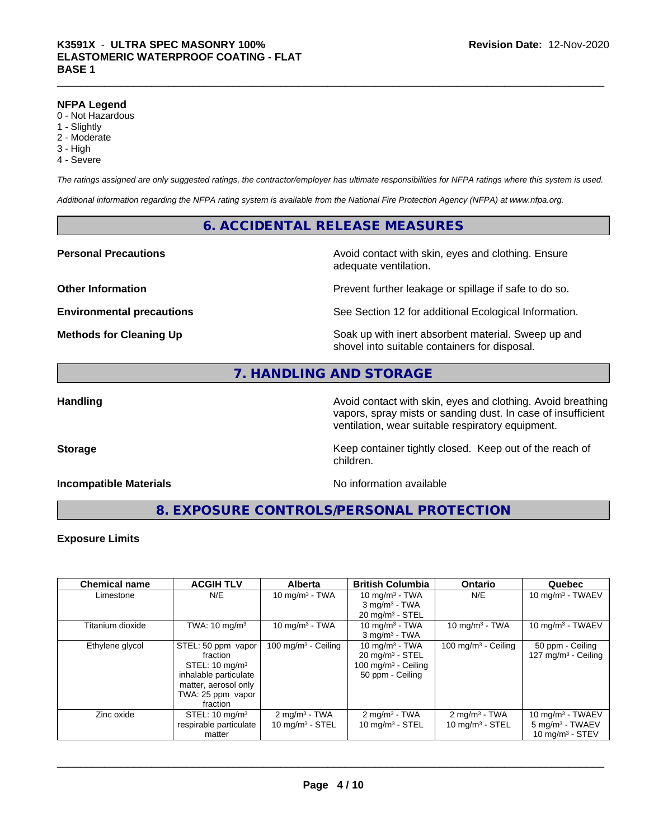#### **NFPA Legend**

- 0 Not Hazardous
- 1 Slightly
- 2 Moderate
- 3 High
- 4 Severe

*The ratings assigned are only suggested ratings, the contractor/employer has ultimate responsibilities for NFPA ratings where this system is used.*

*Additional information regarding the NFPA rating system is available from the National Fire Protection Agency (NFPA) at www.nfpa.org.*

#### **6. ACCIDENTAL RELEASE MEASURES**

#### **Personal Precautions Precautions** Avoid contact with skin, eyes and clothing. Ensure

**Other Information Discription Prevent further leakage or spillage if safe to do so.** 

**Environmental precautions** See Section 12 for additional Ecological Information.

**Methods for Cleaning Up Example 20 Soak** up with inert absorbent material. Sweep up and shovel into suitable containers for disposal.

### **7. HANDLING AND STORAGE**

**Handling Handling Avoid contact with skin, eyes and clothing. Avoid breathing Handling Avoid breathing Avoid breathing** vapors, spray mists or sanding dust. In case of insufficient ventilation, wear suitable respiratory equipment.

**Storage Keep container tightly closed. Keep out of the reach of Keep** container tightly closed. Keep out of the reach of

#### **Incompatible Materials No information available**

adequate ventilation.

**8. EXPOSURE CONTROLS/PERSONAL PROTECTION**

children.

#### **Exposure Limits**

| <b>Chemical name</b> | <b>ACGIH TLV</b>          | <b>Alberta</b>             | <b>British Columbia</b>         | <b>Ontario</b>                  | Quebec                     |
|----------------------|---------------------------|----------------------------|---------------------------------|---------------------------------|----------------------------|
| Limestone            | N/E                       | 10 mg/m $3 - TWA$          | 10 mg/m $3$ - TWA               | N/E                             | 10 mg/m $3$ - TWAEV        |
|                      |                           |                            | $3$ mg/m <sup>3</sup> - TWA     |                                 |                            |
|                      |                           |                            | $20 \text{ mg/m}^3$ - STEL      |                                 |                            |
| Titanium dioxide     | TWA: $10 \text{ mg/m}^3$  | 10 mg/m $3$ - TWA          | 10 mg/m $3$ - TWA               | 10 mg/m $3$ - TWA               | 10 mg/m $3$ - TWAEV        |
|                      |                           |                            | $3$ mg/m $3$ - TWA              |                                 |                            |
| Ethylene glycol      | STEL: 50 ppm vapor        | 100 mg/m $3$ - Ceiling     | 10 mg/m $3$ - TWA               | 100 mg/m <sup>3</sup> - Ceiling | 50 ppm - Ceiling           |
|                      | fraction                  |                            | $20 \text{ mg/m}^3$ - STEL      |                                 | 127 mg/m $3$ - Ceiling     |
|                      | STEL: $10 \text{ mg/m}^3$ |                            | 100 mg/m <sup>3</sup> - Ceiling |                                 |                            |
|                      | inhalable particulate     |                            | 50 ppm - Ceiling                |                                 |                            |
|                      | matter, aerosol only      |                            |                                 |                                 |                            |
|                      | TWA: 25 ppm vapor         |                            |                                 |                                 |                            |
|                      | fraction                  |                            |                                 |                                 |                            |
| Zinc oxide           | STEL: $10 \text{ mg/m}^3$ | $2 \text{mq/m}^3$ - TWA    | $2$ mg/m <sup>3</sup> - TWA     | $2 \text{mq/m}^3$ - TWA         | 10 mg/m $3$ - TWAEV        |
|                      | respirable particulate    | $10 \text{ mg/m}^3$ - STEL | $10 \text{ mg/m}^3$ - STEL      | 10 mg/m $3 -$ STEL              | $5 \text{ mg/m}^3$ - TWAEV |
|                      | matter                    |                            |                                 |                                 | 10 $mq/m^3$ - STEV         |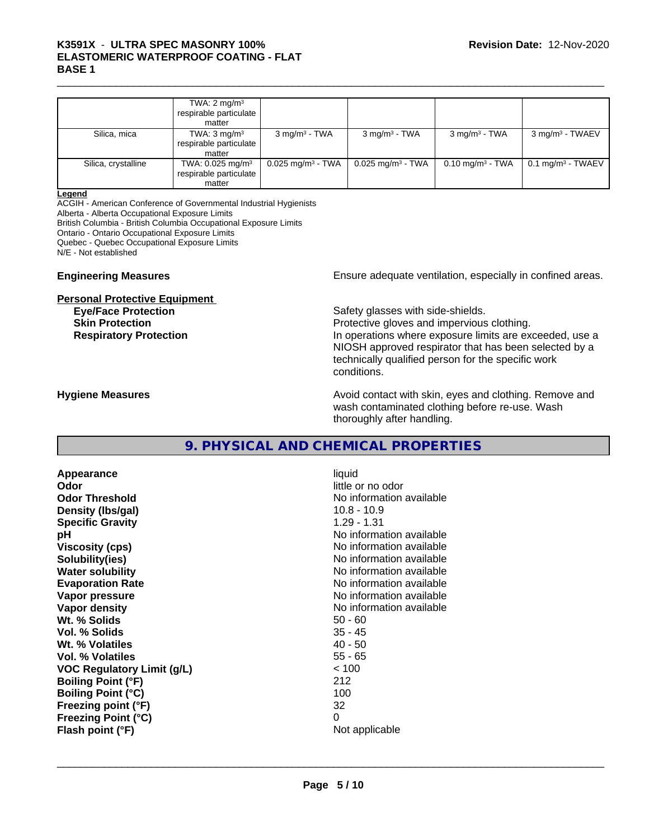## K3591X - ULTRA SPEC MASONRY 100%<br>ELASTOMERIC WATERPROOF COATING - FLAT<br>BASE 1 **ELASTOMERIC WATERPROOF COATING - FLAT BASE 1**

|                     | TWA: $2 \text{ mg/m}^3$<br>respirable particulate I<br>matter    |                                 |                                 |                             |                                 |
|---------------------|------------------------------------------------------------------|---------------------------------|---------------------------------|-----------------------------|---------------------------------|
| Silica, mica        | TWA: $3 \text{ mg/m}^3$<br>respirable particulate<br>matter      | $3 \text{ mg/m}^3$ - TWA        | $3 \text{ mg/m}^3$ - TWA        | $3 \text{ mg/m}^3$ - TWA    | $3$ mg/m <sup>3</sup> - TWAEV   |
| Silica, crystalline | TWA: 0.025 mg/m <sup>3</sup><br>respirable particulate<br>matter | $0.025$ mg/m <sup>3</sup> - TWA | $0.025$ mg/m <sup>3</sup> - TWA | $0.10 \text{ mg/m}^3$ - TWA | $0.1$ mg/m <sup>3</sup> - TWAEV |

#### **Legend**

ACGIH - American Conference of Governmental Industrial Hygienists

Alberta - Alberta Occupational Exposure Limits

British Columbia - British Columbia Occupational Exposure Limits

Ontario - Ontario Occupational Exposure Limits

Quebec - Quebec Occupational Exposure Limits

N/E - Not established

#### **Personal Protective Equipment**

**Engineering Measures Ensure** Ensure adequate ventilation, especially in confined areas.

**Eye/Face Protection Safety glasses with side-shields. Skin Protection Protection Protective gloves and impervious clothing. Respiratory Protection In operations where exposure limits are exceeded, use a** local protection NIOSH approved respirator that has been selected by a technically qualified person for the specific work conditions.

**Hygiene Measures Avoid contact with skin, eyes and clothing. Remove and Avoid contact with skin, eyes and clothing. Remove and Avoid contact with skin, eyes and clothing. Remove and** wash contaminated clothing before re-use. Wash thoroughly after handling.

### **9. PHYSICAL AND CHEMICAL PROPERTIES**

**Appearance** liquid **Odor** little or no odor **Odor Threshold No information available No information available Density (lbs/gal)** 10.8 - 10.9 **Specific Gravity** 1.29 - 1.31 **pH pH**  $\blacksquare$ **Viscosity (cps)** No information available **Solubility(ies)** No information available **Water solubility** No information available **Evaporation Rate Evaporation Rate No information available Vapor pressure** No information available **Vapor density No information available No** information available **Wt. % Solids** 50 - 60 **Vol. % Solids Wt.** % Volatiles 40 - 50 **Vol. % Volatiles** 55 - 65 **VOC Regulatory Limit (g/L)** < 100 **Boiling Point (°F)** 212 **Boiling Point (°C)** 100 **Freezing point (°F)** 32 **Freezing Point (°C)** 0 **Flash point (°F)** Not applicable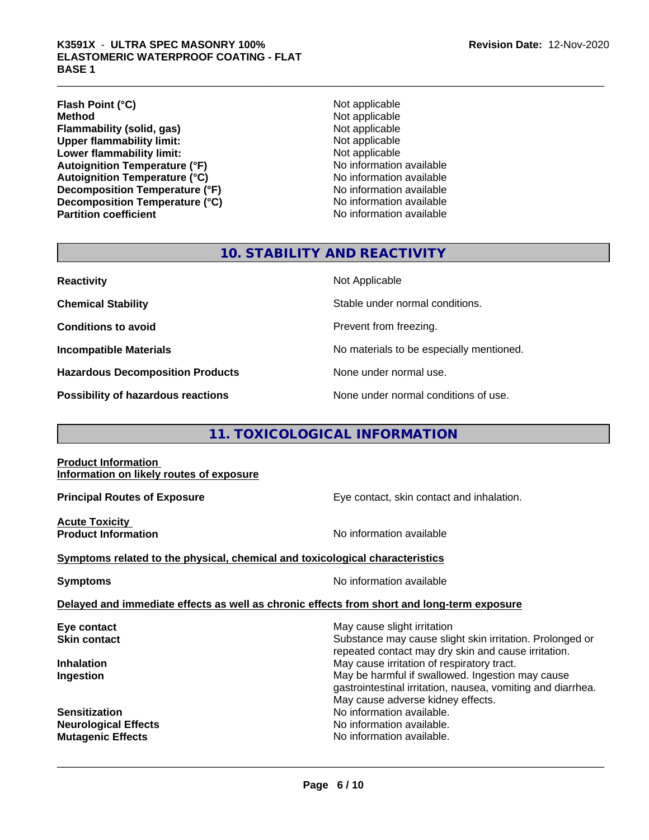## K3591X - ULTRA SPEC MASONRY 100%<br>ELASTOMERIC WATERPROOF COATING - FLAT<br>BASE 1 **ELASTOMERIC WATERPROOF COATING - FLAT BASE 1**

**Flash Point (°C)** Not applicable **Method** Not applicable **Flammability (solid, gas)** Not applicable **Upper flammability limit:** Not applicable **Lower flammability limit:** Not applicable **Autoignition Temperature (°F)**<br> **Autoignition Temperature (°C)** No information available **Autoignition Temperature (°C) Decomposition Temperature (°F)** No information available **Decomposition Temperature (°C)**<br> **Partition coefficient**<br> **Partition coefficient**<br> **No** information available

**No information available** 

## **10. STABILITY AND REACTIVITY**

**Hazardous Decomposition Products** None under normal use.

**Reactivity** Not Applicable

**Chemical Stability Stable under normal conditions.** 

**Conditions to avoid Prevent from freezing.** 

**Incompatible Materials No materials** No materials to be especially mentioned.

**Possibility of hazardous reactions** None under normal conditions of use.

## **11. TOXICOLOGICAL INFORMATION**

**Product Information Information on likely routes of exposure**

**Principal Routes of Exposure Exposure** Eye contact, skin contact and inhalation.

**Acute Toxicity** 

**Product Information Information No information available** 

**Symptoms related to the physical,chemical and toxicological characteristics**

**Symptoms** No information available

 $\overline{\phantom{a}}$  ,  $\overline{\phantom{a}}$  ,  $\overline{\phantom{a}}$  ,  $\overline{\phantom{a}}$  ,  $\overline{\phantom{a}}$  ,  $\overline{\phantom{a}}$  ,  $\overline{\phantom{a}}$  ,  $\overline{\phantom{a}}$  ,  $\overline{\phantom{a}}$  ,  $\overline{\phantom{a}}$  ,  $\overline{\phantom{a}}$  ,  $\overline{\phantom{a}}$  ,  $\overline{\phantom{a}}$  ,  $\overline{\phantom{a}}$  ,  $\overline{\phantom{a}}$  ,  $\overline{\phantom{a}}$ 

#### **Delayed and immediate effects as well as chronic effects from short and long-term exposure**

| May cause slight irritation                                                                                     |
|-----------------------------------------------------------------------------------------------------------------|
| Substance may cause slight skin irritation. Prolonged or                                                        |
| repeated contact may dry skin and cause irritation.                                                             |
| May cause irritation of respiratory tract.                                                                      |
| May be harmful if swallowed. Ingestion may cause<br>gastrointestinal irritation, nausea, vomiting and diarrhea. |
| May cause adverse kidney effects.                                                                               |
| No information available.                                                                                       |
| No information available.                                                                                       |
| No information available.                                                                                       |
|                                                                                                                 |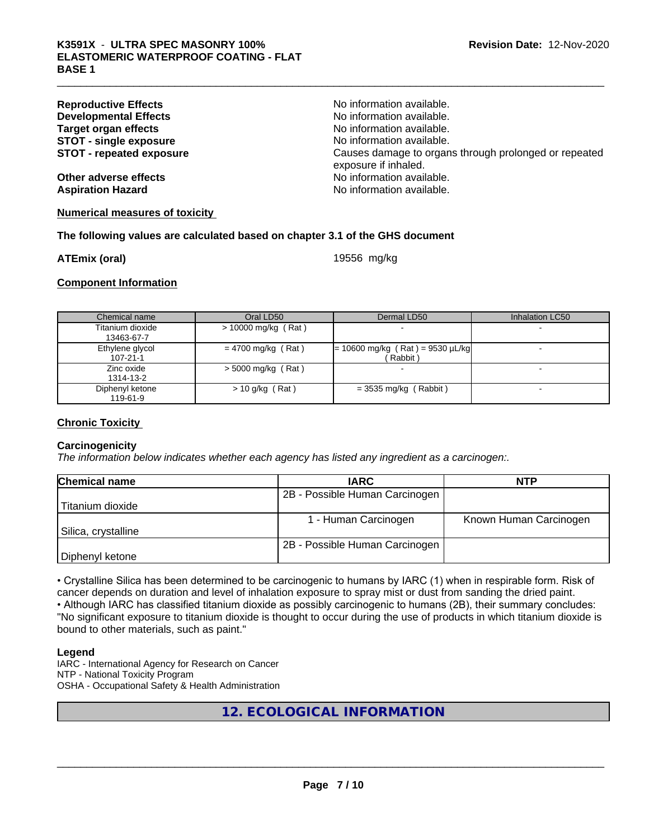| <b>Reproductive Effects</b>     | No information available.                                                     |
|---------------------------------|-------------------------------------------------------------------------------|
| <b>Developmental Effects</b>    | No information available.                                                     |
| Target organ effects            | No information available.                                                     |
| <b>STOT - single exposure</b>   | No information available.                                                     |
| <b>STOT - repeated exposure</b> | Causes damage to organs through prolonged or repeated<br>exposure if inhaled. |
| Other adverse effects           | No information available.                                                     |
| <b>Aspiration Hazard</b>        | No information available.                                                     |
|                                 |                                                                               |

#### **Numerical measures of toxicity**

#### **The following values are calculated based on chapter 3.1 of the GHS document**

**ATEmix (oral)** 19556 mg/kg

**Component Information**

| Chemical name                     | Oral LD50             | Dermal LD50                                   | Inhalation LC50 |
|-----------------------------------|-----------------------|-----------------------------------------------|-----------------|
| Titanium dioxide<br>13463-67-7    | $> 10000$ mg/kg (Rat) |                                               |                 |
| Ethylene glycol<br>$107 - 21 - 1$ | $= 4700$ mg/kg (Rat)  | $= 10600$ mg/kg (Rat) = 9530 µL/kg<br>Rabbit) |                 |
| Zinc oxide<br>1314-13-2           | $>$ 5000 mg/kg (Rat)  |                                               |                 |
| Diphenyl ketone<br>119-61-9       | $> 10$ g/kg (Rat)     | $=$ 3535 mg/kg (Rabbit)                       |                 |

#### **Chronic Toxicity**

#### **Carcinogenicity**

*The information below indicateswhether each agency has listed any ingredient as a carcinogen:.*

| <b>Chemical name</b> | <b>IARC</b>                    | <b>NTP</b>             |
|----------------------|--------------------------------|------------------------|
|                      | 2B - Possible Human Carcinogen |                        |
| Titanium dioxide     |                                |                        |
|                      | 1 - Human Carcinogen           | Known Human Carcinogen |
| Silica, crystalline  |                                |                        |
|                      | 2B - Possible Human Carcinogen |                        |
| Diphenyl ketone      |                                |                        |

• Crystalline Silica has been determined to be carcinogenic to humans by IARC (1) when in respirable form. Risk of cancer depends on duration and level of inhalation exposure to spray mist or dust from sanding the dried paint.• Although IARC has classified titanium dioxide as possibly carcinogenic to humans (2B), their summary concludes: "No significant exposure to titanium dioxide is thought to occur during the use of products in which titanium dioxide is bound to other materials, such as paint."

#### **Legend**

IARC - International Agency for Research on Cancer NTP - National Toxicity Program OSHA - Occupational Safety & Health Administration

## **12. ECOLOGICAL INFORMATION**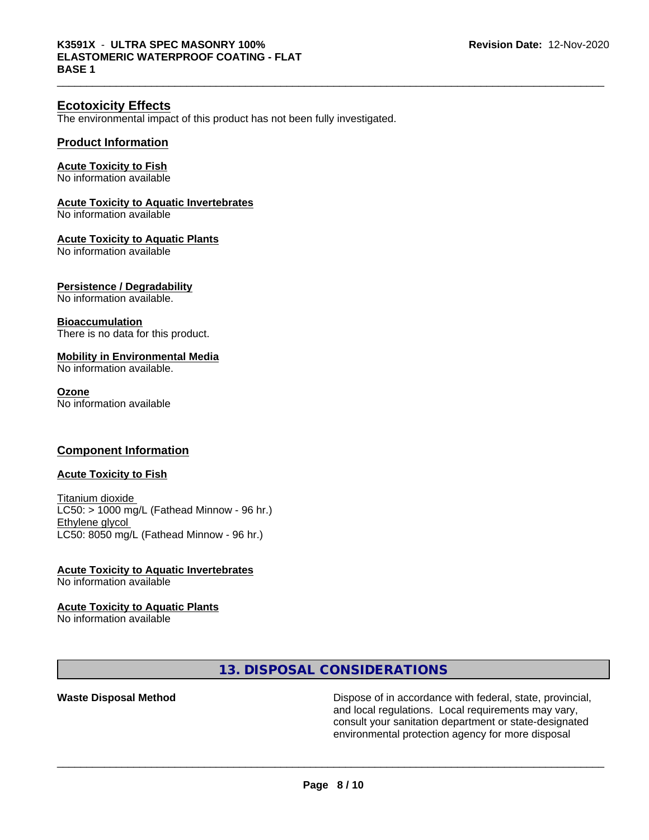#### **Ecotoxicity Effects**

The environmental impact of this product has not been fully investigated.

#### **Product Information**

#### **Acute Toxicity to Fish**

No information available

#### **Acute Toxicity to Aquatic Invertebrates**

No information available

#### **Acute Toxicity to Aquatic Plants**

No information available

#### **Persistence / Degradability**

No information available.

#### **Bioaccumulation**

There is no data for this product.

#### **Mobility in Environmental Media**

No information available.

#### **Ozone**

No information available

#### **Component Information**

#### **Acute Toxicity to Fish**

Titanium dioxide LC50: > 1000 mg/L (Fathead Minnow - 96 hr.) Ethylene glycol LC50: 8050 mg/L (Fathead Minnow - 96 hr.)

### **Acute Toxicity to Aquatic Invertebrates**

No information available

## **Acute Toxicity to Aquatic Plants**

No information available

#### **13. DISPOSAL CONSIDERATIONS**

**Waste Disposal Method Dispose of in accordance with federal, state, provincial,** and local regulations. Local requirements may vary, consult your sanitation department or state-designated environmental protection agency for more disposal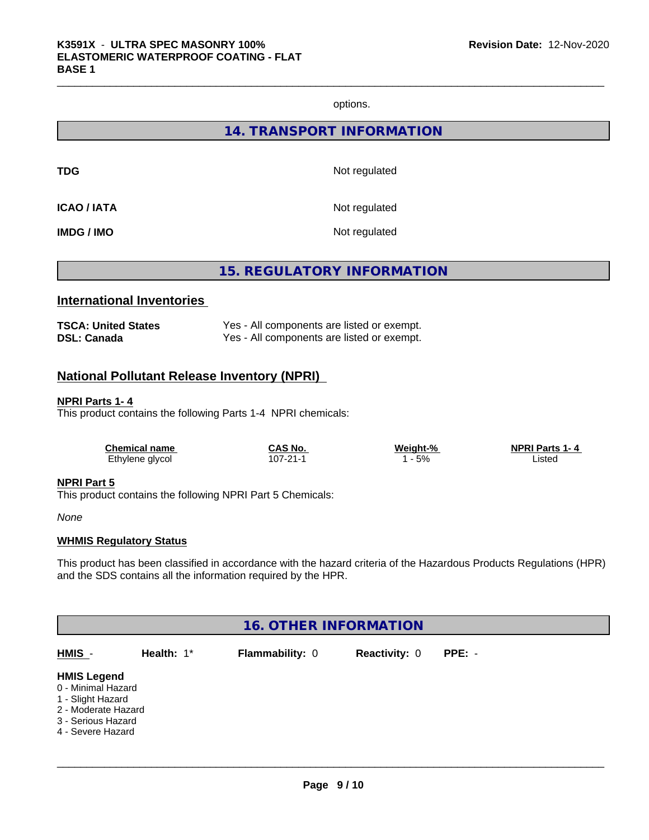options.

**14. TRANSPORT INFORMATION**

**TDG** Not regulated

**ICAO / IATA** Not regulated

**IMDG / IMO** Not regulated

**15. REGULATORY INFORMATION**

## **International Inventories**

| <b>TSCA: United States</b> | Yes - All components are listed or exempt. |
|----------------------------|--------------------------------------------|
| <b>DSL: Canada</b>         | Yes - All components are listed or exempt. |

### **National Pollutant Release Inventory (NPRI)**

#### **NPRI Parts 1- 4**

This product contains the following Parts 1-4 NPRI chemicals:

| <b>Chemical name</b> | <b>CAS No.</b> | Weight-% | <b>NPRI Parts 1-4</b> |  |
|----------------------|----------------|----------|-----------------------|--|
| Ethylene glycol      | 107-21-1       | 5%       | _isted                |  |

#### **NPRI Part 5**

This product contains the following NPRI Part 5 Chemicals:

*None*

#### **WHMIS Regulatory Status**

This product has been classified in accordance with the hazard criteria of the Hazardous Products Regulations (HPR) and the SDS contains all the information required by the HPR.

| <b>16. OTHER INFORMATION</b>                                                                                                    |            |                 |                      |          |  |  |  |
|---------------------------------------------------------------------------------------------------------------------------------|------------|-----------------|----------------------|----------|--|--|--|
| HMIS -                                                                                                                          | Health: 1* | Flammability: 0 | <b>Reactivity: 0</b> | $PPE: -$ |  |  |  |
| <b>HMIS Legend</b><br>0 - Minimal Hazard<br>1 - Slight Hazard<br>2 - Moderate Hazard<br>3 - Serious Hazard<br>4 - Severe Hazard |            |                 |                      |          |  |  |  |